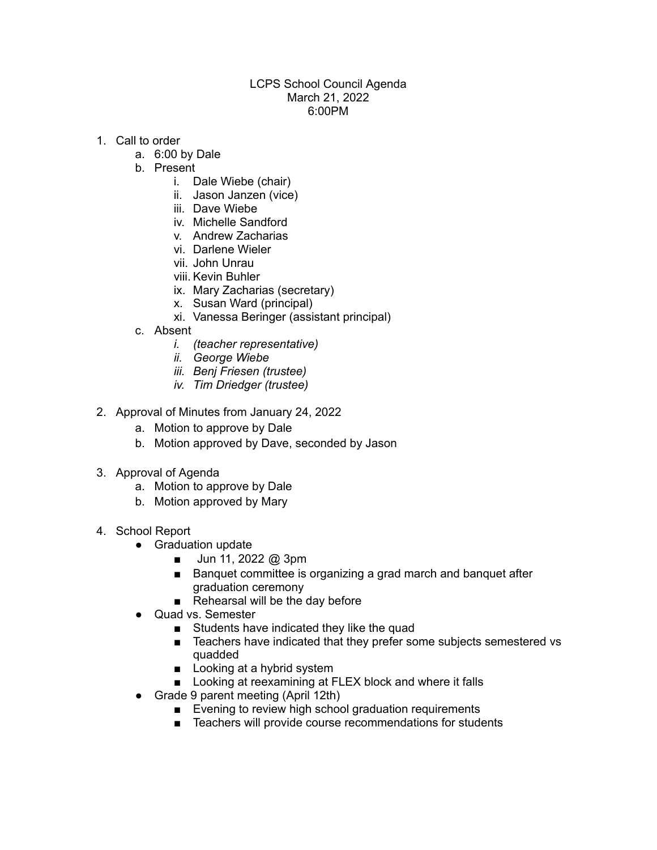## LCPS School Council Agenda March 21, 2022 6:00PM

- 1. Call to order
	- a. 6:00 by Dale
	- b. Present
		- i. Dale Wiebe (chair)
		- ii. Jason Janzen (vice)
		- iii. Dave Wiebe
		- iv. Michelle Sandford
		- v. Andrew Zacharias
		- vi. Darlene Wieler
		- vii. John Unrau
		- viii. Kevin Buhler
		- ix. Mary Zacharias (secretary)
		- x. Susan Ward (principal)
		- xi. Vanessa Beringer (assistant principal)
	- c. Absent
		- *i. (teacher representative)*
		- *ii. George Wiebe*
		- *iii. Benj Friesen (trustee)*
		- *iv. Tim Driedger (trustee)*
- 2. Approval of Minutes from January 24, 2022
	- a. Motion to approve by Dale
	- b. Motion approved by Dave, seconded by Jason
- 3. Approval of Agenda
	- a. Motion to approve by Dale
	- b. Motion approved by Mary
- 4. School Report
	- Graduation update
		- Jun 11, 2022 @ 3pm
		- Banquet committee is organizing a grad march and banquet after graduation ceremony
		- Rehearsal will be the day before
	- Quad vs. Semester
		- Students have indicated they like the quad
		- Teachers have indicated that they prefer some subjects semestered vs quadded
		- Looking at a hybrid system
		- Looking at reexamining at FLEX block and where it falls
	- Grade 9 parent meeting (April 12th)
		- Evening to review high school graduation requirements
		- Teachers will provide course recommendations for students